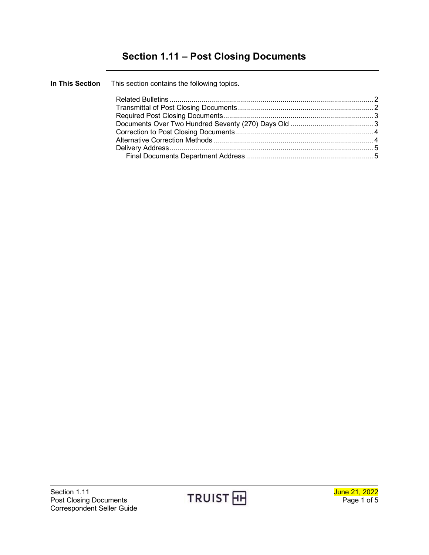# **Section 1.11 – Post Closing Documents**

| In This Section This section contains the following topics. |  |
|-------------------------------------------------------------|--|
|                                                             |  |
|                                                             |  |
|                                                             |  |
|                                                             |  |
|                                                             |  |
|                                                             |  |
|                                                             |  |
|                                                             |  |
|                                                             |  |

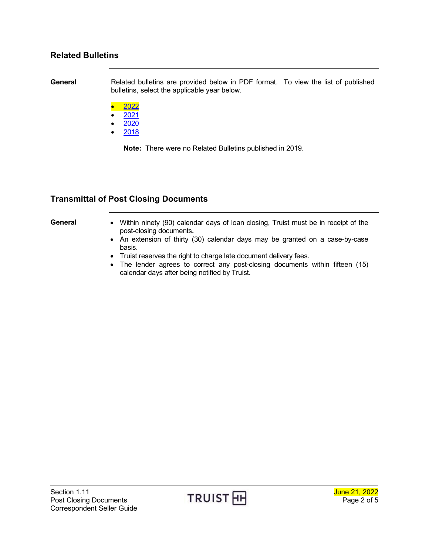#### <span id="page-1-0"></span>**Related Bulletins**

**General** Related bulletins are provided below in PDF format. To view the list of published bulletins, select the applicable year below.

- [2022](http://www.truistsellerguide.com/manual/cor/bulletins/Related%20Bulletins/2022/CPostClosing2022.pdf)
- $2021$  $2021$
- [2020](http://www.truistsellerguide.com/manual/cor/bulletins/Related%20Bulletins/2020/CPostClosing2020.pdf)
- [2018](http://www.truistsellerguide.com/manual/cor/bulletins/Related%20Bulletins/2018/CPostClosing2018.pdf)

**Note:** There were no Related Bulletins published in 2019.

### <span id="page-1-1"></span>**Transmittal of Post Closing Documents**

- **General** Within ninety (90) calendar days of loan closing, Truist must be in receipt of the post-closing documents**.**
	- An extension of thirty (30) calendar days may be granted on a case-by-case basis.
	- Truist reserves the right to charge late document delivery fees.
	- The lender agrees to correct any post-closing documents within fifteen (15) calendar days after being notified by Truist.

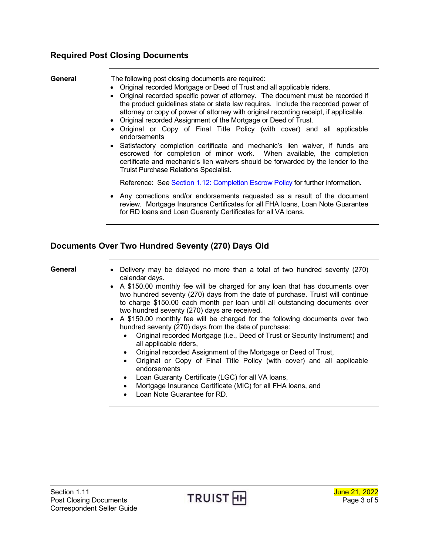### <span id="page-2-0"></span>**Required Post Closing Documents**

| General | The following post closing documents are required:<br>• Original recorded Mortgage or Deed of Trust and all applicable riders.<br>• Original recorded specific power of attorney. The document must be recorded if<br>the product guidelines state or state law requires. Include the recorded power of<br>attorney or copy of power of attorney with original recording receipt, if applicable.<br>• Original recorded Assignment of the Mortgage or Deed of Trust.<br>• Original or Copy of Final Title Policy (with cover) and all applicable<br>endorsements<br>• Satisfactory completion certificate and mechanic's lien waiver, if funds are<br>escrowed for completion of minor work. When available, the completion<br>certificate and mechanic's lien waivers should be forwarded by the lender to the<br><b>Truist Purchase Relations Specialist.</b> |
|---------|-----------------------------------------------------------------------------------------------------------------------------------------------------------------------------------------------------------------------------------------------------------------------------------------------------------------------------------------------------------------------------------------------------------------------------------------------------------------------------------------------------------------------------------------------------------------------------------------------------------------------------------------------------------------------------------------------------------------------------------------------------------------------------------------------------------------------------------------------------------------|
|         | Reference: See Section 1.12: Completion Escrow Policy for further information.                                                                                                                                                                                                                                                                                                                                                                                                                                                                                                                                                                                                                                                                                                                                                                                  |
|         | • Any corrections and/or endorsements requested as a result of the document<br>review. Mortgage Insurance Certificates for all FHA loans, Loan Note Guarantee<br>for RD loans and Loan Guaranty Certificates for all VA loans.                                                                                                                                                                                                                                                                                                                                                                                                                                                                                                                                                                                                                                  |
|         | Documents Over Two Hundred Seventy (270) Days Old                                                                                                                                                                                                                                                                                                                                                                                                                                                                                                                                                                                                                                                                                                                                                                                                               |

- <span id="page-2-1"></span>**General** • Delivery may be delayed no more than a total of two hundred seventy (270) calendar days.
	- A \$150.00 monthly fee will be charged for any loan that has documents over two hundred seventy (270) days from the date of purchase. Truist will continue to charge \$150.00 each month per loan until all outstanding documents over two hundred seventy (270) days are received.
	- A \$150.00 monthly fee will be charged for the following documents over two hundred seventy (270) days from the date of purchase:
		- Original recorded Mortgage (i.e., Deed of Trust or Security Instrument) and all applicable riders,
		- Original recorded Assignment of the Mortgage or Deed of Trust,
		- Original or Copy of Final Title Policy (with cover) and all applicable endorsements
		- Loan Guaranty Certificate (LGC) for all VA loans,
		- Mortgage Insurance Certificate (MIC) for all FHA loans, and
		- Loan Note Guarantee for RD.

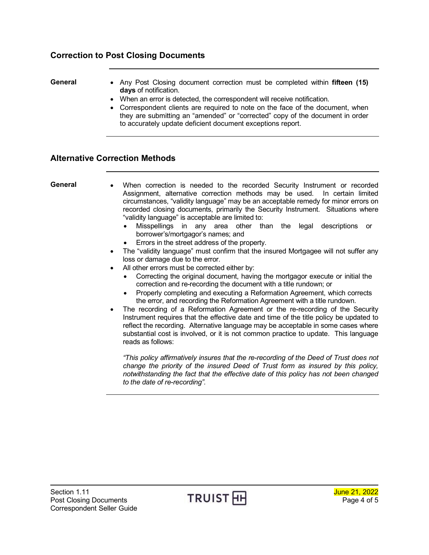### <span id="page-3-0"></span>**Correction to Post Closing Documents**

- **General** Any Post Closing document correction must be completed within **fifteen (15) days** of notification.
	- When an error is detected, the correspondent will receive notification.
	- Correspondent clients are required to note on the face of the document, when they are submitting an "amended" or "corrected" copy of the document in order to accurately update deficient document exceptions report.

#### <span id="page-3-1"></span>**Alternative Correction Methods**

- **General** When correction is needed to the recorded Security Instrument or recorded Assignment, alternative correction methods may be used. In certain limited circumstances, "validity language" may be an acceptable remedy for minor errors on recorded closing documents, primarily the Security Instrument. Situations where "validity language" is acceptable are limited to:
	- Misspellings in any area other than the legal descriptions or borrower's/mortgagor's names; and
	- Errors in the street address of the property.
	- The "validity language" must confirm that the insured Mortgagee will not suffer any loss or damage due to the error.
	- All other errors must be corrected either by:
		- Correcting the original document, having the mortgagor execute or initial the correction and re-recording the document with a title rundown; or
		- Properly completing and executing a Reformation Agreement, which corrects the error, and recording the Reformation Agreement with a title rundown.
	- The recording of a Reformation Agreement or the re-recording of the Security Instrument requires that the effective date and time of the title policy be updated to reflect the recording. Alternative language may be acceptable in some cases where substantial cost is involved, or it is not common practice to update. This language reads as follows:

*"This policy affirmatively insures that the re-recording of the Deed of Trust does not change the priority of the insured Deed of Trust form as insured by this policy, notwithstanding the fact that the effective date of this policy has not been changed to the date of re-recording".*

Section 1.11<br>Post Closing Documents **TRUIST HH** Doctor of 5 Post Closing Documents **Post Closing Documents** Page 4 of 5 Correspondent Seller Guide